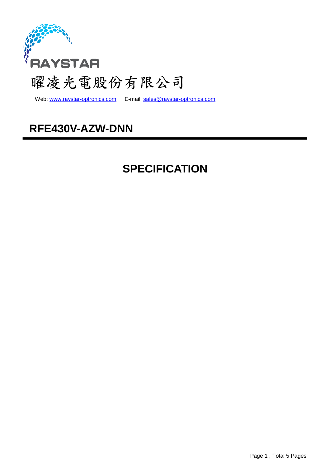

Web: www.raystar-optronics.com E-mail: sales@raystar-optronics.com

## **RFE430V-AZW-DNN**

## **SPECIFICATION**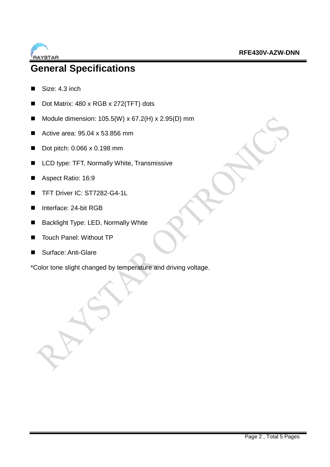

## **General Specifications**

- Size: 4.3 inch
- Dot Matrix: 480 x RGB x 272(TFT) dots
- Module dimension:  $105.5(W) \times 67.2(H) \times 2.95(D)$  mm
- Active area: 95.04 x 53.856 mm
- Dot pitch: 0.066 x 0.198 mm
- LCD type: TFT, Normally White, Transmissive
- Aspect Ratio: 16:9
- TFT Driver IC: ST7282-G4-1L
- Interface: 24-bit RGB
- Backlight Type: LED, Normally White
- Touch Panel: Without TP
- Surface: Anti-Glare

\*Color tone slight changed by temperature and driving voltage.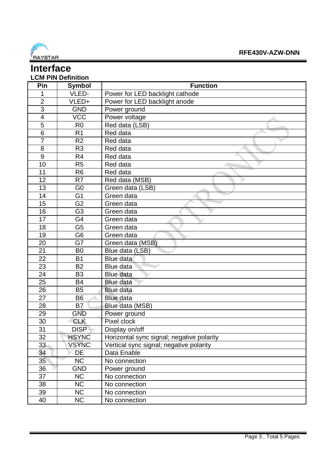

#### **Interface LCM PIN Definition**

| Pin            | <b>Symbol</b>  | <b>Function</b>                                                  |
|----------------|----------------|------------------------------------------------------------------|
| 1              | VLED-          |                                                                  |
| $\overline{2}$ | VLED+          | Power for LED backlight cathode<br>Power for LED backlight anode |
| $\overline{3}$ | <b>GND</b>     |                                                                  |
|                |                | Power ground                                                     |
| 4              | <b>VCC</b>     | Power voltage                                                    |
| 5              | R <sub>0</sub> | Red data (LSB)                                                   |
| $\overline{6}$ | R <sub>1</sub> | Red data                                                         |
| $\overline{7}$ | R <sub>2</sub> | Red data                                                         |
| 8              | R <sub>3</sub> | Red data                                                         |
| 9              | R <sub>4</sub> | Red data                                                         |
| 10             | R <sub>5</sub> | Red data                                                         |
| 11             | R6             | Red data                                                         |
| 12             | R <sub>7</sub> | Red data (MSB)                                                   |
| 13             | G <sub>0</sub> | Green data (LSB)                                                 |
| 14             | G <sub>1</sub> | Green data                                                       |
| 15             | G <sub>2</sub> | Green data                                                       |
| 16             | G <sub>3</sub> | Green data                                                       |
| 17             | G4             | Green data                                                       |
| 18             | G <sub>5</sub> | Green data                                                       |
| 19             | G <sub>6</sub> | Green data                                                       |
| 20             | G7             | Green data (MSB)                                                 |
| 21             | B <sub>0</sub> | Blue data (LSB)                                                  |
| 22             | <b>B1</b>      | <b>Blue data</b>                                                 |
| 23             | <b>B2</b>      | Blue data                                                        |
| 24             | B <sub>3</sub> | <b>Blue data</b>                                                 |
| 25             | <b>B4</b>      | <b>Blue data</b>                                                 |
| 26             | <b>B5</b>      | <b>Blue data</b>                                                 |
| 27             | B <sub>6</sub> | <b>Blue data</b>                                                 |
| 28             | B <sub>7</sub> | Blue data (MSB)                                                  |
| 29             | <b>GND</b>     | Power ground                                                     |
| 30             | <b>CLK</b>     | Pixel clock                                                      |
| 31             | <b>DISP</b>    | Display on/off                                                   |
| 32             | <b>HSYNC</b>   | Horizontal sync signal; negative polarity                        |
| 33             | <b>VSYNC</b>   | Vertical sync signal; negative polarity                          |
| 34             | DE             | Data Enable                                                      |
| 35             | <b>NC</b>      | No connection                                                    |
| 36             | <b>GND</b>     | Power ground                                                     |
| 37             | <b>NC</b>      | No connection                                                    |
| 38             | <b>NC</b>      | No connection                                                    |
| 39             | <b>NC</b>      | No connection                                                    |
| 40             | <b>NC</b>      | No connection                                                    |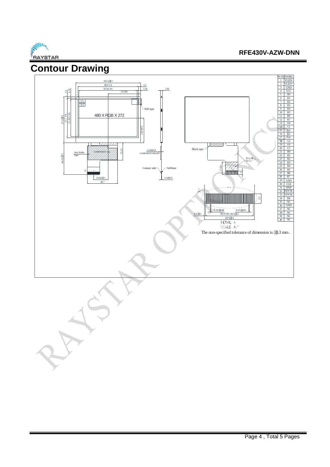

#### **RFE430V-AZW-DNN**